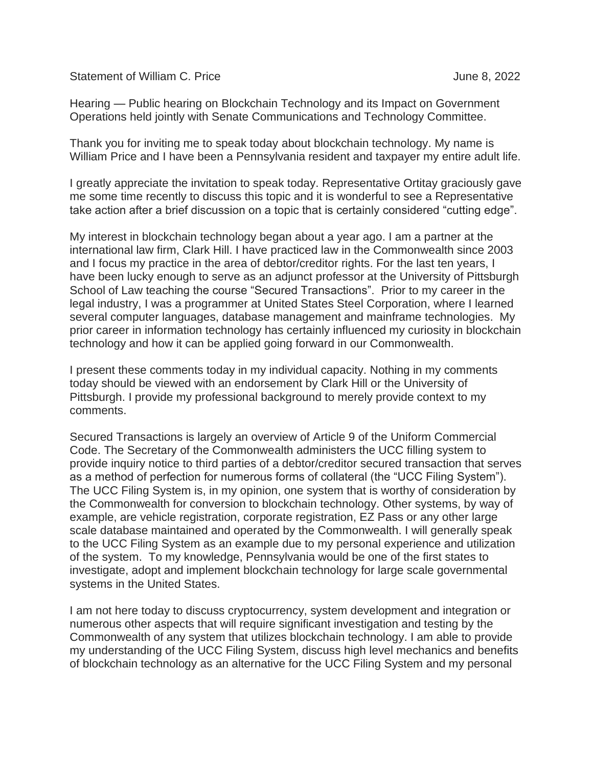Statement of William C. Price **June 8, 2022** 

Hearing — Public hearing on Blockchain Technology and its Impact on Government Operations held jointly with Senate Communications and Technology Committee.

Thank you for inviting me to speak today about blockchain technology. My name is William Price and I have been a Pennsylvania resident and taxpayer my entire adult life.

I greatly appreciate the invitation to speak today. Representative Ortitay graciously gave me some time recently to discuss this topic and it is wonderful to see a Representative take action after a brief discussion on a topic that is certainly considered "cutting edge".

My interest in blockchain technology began about a year ago. I am a partner at the international law firm, Clark Hill. I have practiced law in the Commonwealth since 2003 and I focus my practice in the area of debtor/creditor rights. For the last ten years, I have been lucky enough to serve as an adjunct professor at the University of Pittsburgh School of Law teaching the course "Secured Transactions". Prior to my career in the legal industry, I was a programmer at United States Steel Corporation, where I learned several computer languages, database management and mainframe technologies. My prior career in information technology has certainly influenced my curiosity in blockchain technology and how it can be applied going forward in our Commonwealth.

I present these comments today in my individual capacity. Nothing in my comments today should be viewed with an endorsement by Clark Hill or the University of Pittsburgh. I provide my professional background to merely provide context to my comments.

Secured Transactions is largely an overview of Article 9 of the Uniform Commercial Code. The Secretary of the Commonwealth administers the UCC filling system to provide inquiry notice to third parties of a debtor/creditor secured transaction that serves as a method of perfection for numerous forms of collateral (the "UCC Filing System"). The UCC Filing System is, in my opinion, one system that is worthy of consideration by the Commonwealth for conversion to blockchain technology. Other systems, by way of example, are vehicle registration, corporate registration, EZ Pass or any other large scale database maintained and operated by the Commonwealth. I will generally speak to the UCC Filing System as an example due to my personal experience and utilization of the system. To my knowledge, Pennsylvania would be one of the first states to investigate, adopt and implement blockchain technology for large scale governmental systems in the United States.

I am not here today to discuss cryptocurrency, system development and integration or numerous other aspects that will require significant investigation and testing by the Commonwealth of any system that utilizes blockchain technology. I am able to provide my understanding of the UCC Filing System, discuss high level mechanics and benefits of blockchain technology as an alternative for the UCC Filing System and my personal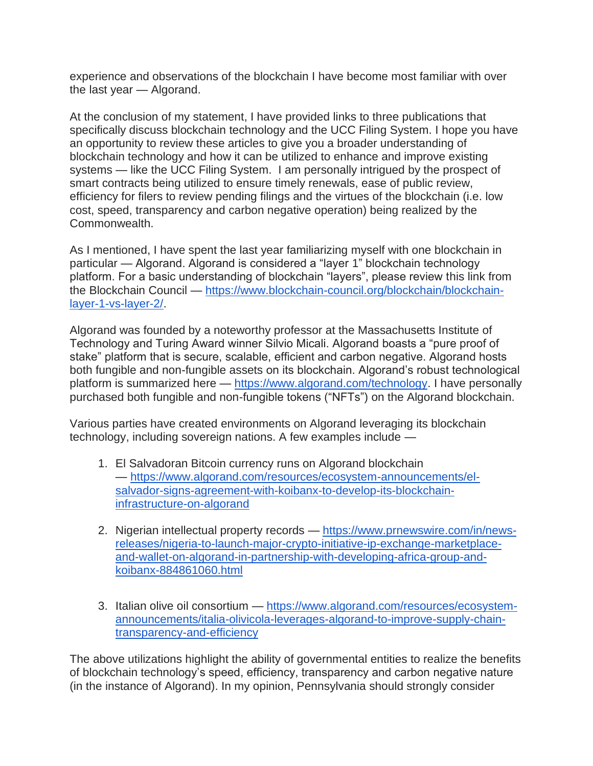experience and observations of the blockchain I have become most familiar with over the last year — Algorand.

At the conclusion of my statement, I have provided links to three publications that specifically discuss blockchain technology and the UCC Filing System. I hope you have an opportunity to review these articles to give you a broader understanding of blockchain technology and how it can be utilized to enhance and improve existing systems — like the UCC Filing System. I am personally intrigued by the prospect of smart contracts being utilized to ensure timely renewals, ease of public review, efficiency for filers to review pending filings and the virtues of the blockchain (i.e. low cost, speed, transparency and carbon negative operation) being realized by the Commonwealth.

As I mentioned, I have spent the last year familiarizing myself with one blockchain in particular — Algorand. Algorand is considered a "layer 1" blockchain technology platform. For a basic understanding of blockchain "layers", please review this link from the Blockchain Council — [https://www.blockchain-council.org/blockchain/blockchain](https://www.blockchain-council.org/blockchain/blockchain-layer-1-vs-layer-2/)[layer-1-vs-layer-2/.](https://www.blockchain-council.org/blockchain/blockchain-layer-1-vs-layer-2/)

Algorand was founded by a noteworthy professor at the Massachusetts Institute of Technology and Turing Award winner Silvio Micali. Algorand boasts a "pure proof of stake" platform that is secure, scalable, efficient and carbon negative. Algorand hosts both fungible and non-fungible assets on its blockchain. Algorand's robust technological platform is summarized here — [https://www.algorand.com/technology.](https://www.algorand.com/technology) I have personally purchased both fungible and non-fungible tokens ("NFTs") on the Algorand blockchain.

Various parties have created environments on Algorand leveraging its blockchain technology, including sovereign nations. A few examples include —

- 1. El Salvadoran Bitcoin currency runs on Algorand blockchain — [https://www.algorand.com/resources/ecosystem-announcements/el](https://www.algorand.com/resources/ecosystem-announcements/el-salvador-signs-agreement-with-koibanx-to-develop-its-blockchain-infrastructure-on-algorand)[salvador-signs-agreement-with-koibanx-to-develop-its-blockchain](https://www.algorand.com/resources/ecosystem-announcements/el-salvador-signs-agreement-with-koibanx-to-develop-its-blockchain-infrastructure-on-algorand)[infrastructure-on-algorand](https://www.algorand.com/resources/ecosystem-announcements/el-salvador-signs-agreement-with-koibanx-to-develop-its-blockchain-infrastructure-on-algorand)
- 2. Nigerian intellectual property records [https://www.prnewswire.com/in/news](https://www.prnewswire.com/in/news-releases/nigeria-to-launch-major-crypto-initiative-ip-exchange-marketplace-and-wallet-on-algorand-in-partnership-with-developing-africa-group-and-koibanx-884861060.html)[releases/nigeria-to-launch-major-crypto-initiative-ip-exchange-marketplace](https://www.prnewswire.com/in/news-releases/nigeria-to-launch-major-crypto-initiative-ip-exchange-marketplace-and-wallet-on-algorand-in-partnership-with-developing-africa-group-and-koibanx-884861060.html)[and-wallet-on-algorand-in-partnership-with-developing-africa-group-and](https://www.prnewswire.com/in/news-releases/nigeria-to-launch-major-crypto-initiative-ip-exchange-marketplace-and-wallet-on-algorand-in-partnership-with-developing-africa-group-and-koibanx-884861060.html)[koibanx-884861060.html](https://www.prnewswire.com/in/news-releases/nigeria-to-launch-major-crypto-initiative-ip-exchange-marketplace-and-wallet-on-algorand-in-partnership-with-developing-africa-group-and-koibanx-884861060.html)
- 3. Italian olive oil consortium [https://www.algorand.com/resources/ecosystem](https://www.algorand.com/resources/ecosystem-announcements/italia-olivicola-leverages-algorand-to-improve-supply-chain-transparency-and-efficiency)[announcements/italia-olivicola-leverages-algorand-to-improve-supply-chain](https://www.algorand.com/resources/ecosystem-announcements/italia-olivicola-leverages-algorand-to-improve-supply-chain-transparency-and-efficiency)[transparency-and-efficiency](https://www.algorand.com/resources/ecosystem-announcements/italia-olivicola-leverages-algorand-to-improve-supply-chain-transparency-and-efficiency)

The above utilizations highlight the ability of governmental entities to realize the benefits of blockchain technology's speed, efficiency, transparency and carbon negative nature (in the instance of Algorand). In my opinion, Pennsylvania should strongly consider